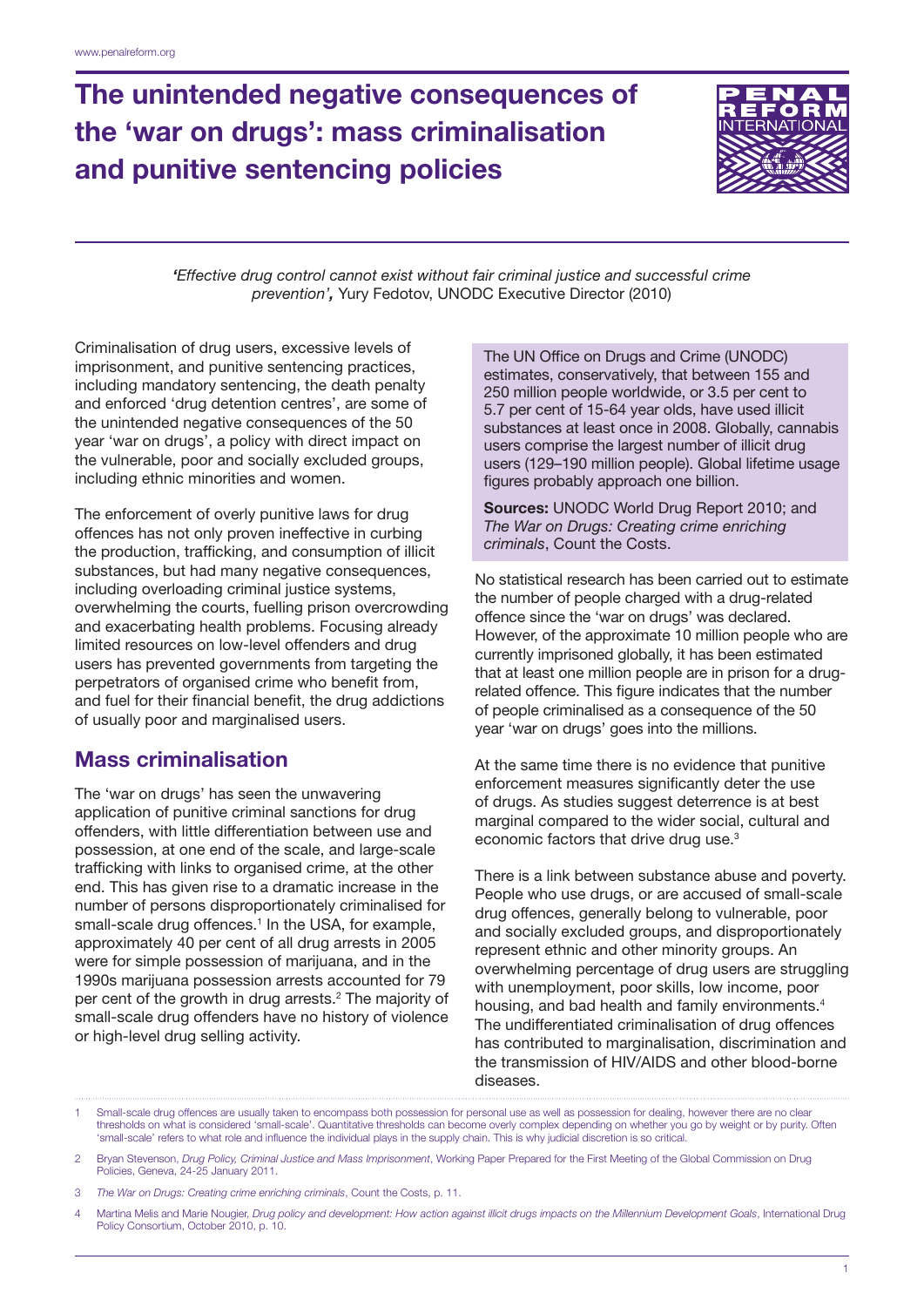# The unintended negative consequences of the 'war on drugs': mass criminalisation and punitive sentencing policies



*'Effective drug control cannot exist without fair criminal justice and successful crime prevention',* Yury Fedotov, UNODC Executive Director (2010)

Criminalisation of drug users, excessive levels of imprisonment, and punitive sentencing practices, including mandatory sentencing, the death penalty and enforced 'drug detention centres', are some of the unintended negative consequences of the 50 year 'war on drugs', a policy with direct impact on the vulnerable, poor and socially excluded groups, including ethnic minorities and women.

The enforcement of overly punitive laws for drug offences has not only proven ineffective in curbing the production, trafficking, and consumption of illicit substances, but had many negative consequences, including overloading criminal justice systems, overwhelming the courts, fuelling prison overcrowding and exacerbating health problems. Focusing already limited resources on low-level offenders and drug users has prevented governments from targeting the perpetrators of organised crime who benefit from, and fuel for their financial benefit, the drug addictions of usually poor and marginalised users.

## Mass criminalisation

The 'war on drugs' has seen the unwavering application of punitive criminal sanctions for drug offenders, with little differentiation between use and possession, at one end of the scale, and large-scale trafficking with links to organised crime, at the other end. This has given rise to a dramatic increase in the number of persons disproportionately criminalised for small-scale drug offences.<sup>1</sup> In the USA, for example, approximately 40 per cent of all drug arrests in 2005 were for simple possession of marijuana, and in the 1990s marijuana possession arrests accounted for 79 per cent of the growth in drug arrests.<sup>2</sup> The majority of small-scale drug offenders have no history of violence or high-level drug selling activity.

The UN Office on Drugs and Crime (UNODC) estimates, conservatively, that between 155 and 250 million people worldwide, or 3.5 per cent to 5.7 per cent of 15-64 year olds, have used illicit substances at least once in 2008. Globally, cannabis users comprise the largest number of illicit drug users (129–190 million people). Global lifetime usage figures probably approach one billion.

Sources: UNODC World Drug Report 2010; and *The War on Drugs: Creating crime enriching criminals*, Count the Costs.

No statistical research has been carried out to estimate the number of people charged with a drug-related offence since the 'war on drugs' was declared. However, of the approximate 10 million people who are currently imprisoned globally, it has been estimated that at least one million people are in prison for a drugrelated offence. This figure indicates that the number of people criminalised as a consequence of the 50 year 'war on drugs' goes into the millions.

At the same time there is no evidence that punitive enforcement measures significantly deter the use of drugs. As studies suggest deterrence is at best marginal compared to the wider social, cultural and economic factors that drive drug use.3

There is a link between substance abuse and poverty. People who use drugs, or are accused of small-scale drug offences, generally belong to vulnerable, poor and socially excluded groups, and disproportionately represent ethnic and other minority groups. An overwhelming percentage of drug users are struggling with unemployment, poor skills, low income, poor housing, and bad health and family environments.<sup>4</sup> The undifferentiated criminalisation of drug offences has contributed to marginalisation, discrimination and the transmission of HIV/AIDS and other blood-borne diseases.

- 3 *The War on Drugs: Creating crime enriching criminals*, Count the Costs, p. 11.
- 4 Martina Melis and Marie Nougier, *Drug policy and development: How action against illicit drugs impacts on the Millennium Development Goals*, International Drug Policy Consortium, October 2010, p. 10.

Small-scale drug offences are usually taken to encompass both possession for personal use as well as possession for dealing, however there are no clear thresholds on what is considered 'small-scale'. Quantitative thresholds can become overly complex depending on whether you go by weight or by purity. Often 'small-scale' refers to what role and influence the individual plays in the supply chain. This is why judicial discretion is so critical.

<sup>2</sup> Bryan Stevenson, *Drug Policy, Criminal Justice and Mass Imprisonment*, Working Paper Prepared for the First Meeting of the Global Commission on Drug Policies, Geneva, 24-25 January 2011.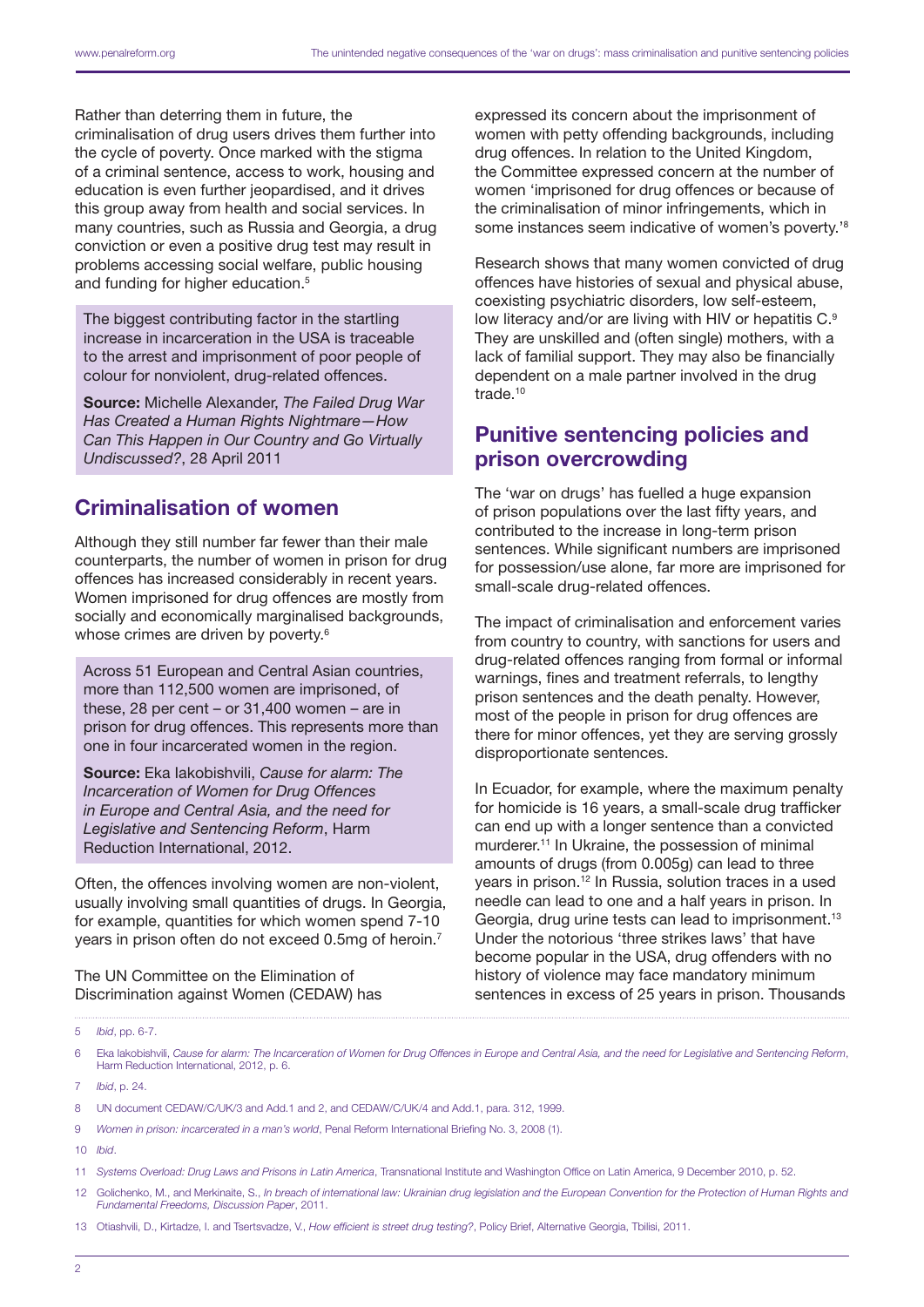Rather than deterring them in future, the criminalisation of drug users drives them further into the cycle of poverty. Once marked with the stigma of a criminal sentence, access to work, housing and education is even further jeopardised, and it drives this group away from health and social services. In many countries, such as Russia and Georgia, a drug conviction or even a positive drug test may result in problems accessing social welfare, public housing and funding for higher education.<sup>5</sup>

The biggest contributing factor in the startling increase in incarceration in the USA is traceable to the arrest and imprisonment of poor people of colour for nonviolent, drug-related offences.

Source: Michelle Alexander, *The Failed Drug War Has Created a Human Rights Nightmare—How Can This Happen in Our Country and Go Virtually Undiscussed?*, 28 April 2011

#### Criminalisation of women

Although they still number far fewer than their male counterparts, the number of women in prison for drug offences has increased considerably in recent years. Women imprisoned for drug offences are mostly from socially and economically marginalised backgrounds, whose crimes are driven by poverty.<sup>6</sup>

Across 51 European and Central Asian countries, more than 112,500 women are imprisoned, of these, 28 per cent – or 31,400 women – are in prison for drug offences. This represents more than one in four incarcerated women in the region.

Source: Eka Iakobishvili, *Cause for alarm: The Incarceration of Women for Drug Offences in Europe and Central Asia, and the need for Legislative and Sentencing Reform*, Harm Reduction International, 2012.

Often, the offences involving women are non-violent, usually involving small quantities of drugs. In Georgia, for example, quantities for which women spend 7-10 years in prison often do not exceed 0.5mg of heroin.7

The UN Committee on the Elimination of Discrimination against Women (CEDAW) has expressed its concern about the imprisonment of women with petty offending backgrounds, including drug offences. In relation to the United Kingdom, the Committee expressed concern at the number of women 'imprisoned for drug offences or because of the criminalisation of minor infringements, which in some instances seem indicative of women's poverty.'8

Research shows that many women convicted of drug offences have histories of sexual and physical abuse, coexisting psychiatric disorders, low self-esteem, low literacy and/or are living with HIV or hepatitis C.<sup>9</sup> They are unskilled and (often single) mothers, with a lack of familial support. They may also be financially dependent on a male partner involved in the drug trade.<sup>10</sup>

#### Punitive sentencing policies and prison overcrowding

The 'war on drugs' has fuelled a huge expansion of prison populations over the last fifty years, and contributed to the increase in long-term prison sentences. While significant numbers are imprisoned for possession/use alone, far more are imprisoned for small-scale drug-related offences.

The impact of criminalisation and enforcement varies from country to country, with sanctions for users and drug-related offences ranging from formal or informal warnings, fines and treatment referrals, to lengthy prison sentences and the death penalty. However, most of the people in prison for drug offences are there for minor offences, yet they are serving grossly disproportionate sentences.

In Ecuador, for example, where the maximum penalty for homicide is 16 years, a small-scale drug trafficker can end up with a longer sentence than a convicted murderer.11 In Ukraine, the possession of minimal amounts of drugs (from 0.005g) can lead to three years in prison.12 In Russia, solution traces in a used needle can lead to one and a half years in prison. In Georgia, drug urine tests can lead to imprisonment.<sup>13</sup> Under the notorious 'three strikes laws' that have become popular in the USA, drug offenders with no history of violence may face mandatory minimum sentences in excess of 25 years in prison. Thousands

10 *Ibid*.

<sup>5</sup> *Ibid*, pp. 6-7.

<sup>6</sup> Eka Iakobishvili, *Cause for alarm: The Incarceration of Women for Drug Offences in Europe and Central Asia, and the need for Legislative and Sentencing Reform*, Harm Reduction International, 2012, p. 6.

<sup>7</sup> *Ibid*, p. 24.

<sup>8</sup> UN document CEDAW/C/UK/3 and Add.1 and 2, and CEDAW/C/UK/4 and Add.1, para. 312, 1999.

<sup>9</sup> *Women in prison: incarcerated in a man's world*, Penal Reform International Briefing No. 3, 2008 (1).

<sup>11</sup> *Systems Overload: Drug Laws and Prisons in Latin America*, Transnational Institute and Washington Office on Latin America, 9 December 2010, p. 52.

Golichenko, M., and Merkinaite, S., *In breach of international law: Ukrainian drug legislation and the European Convention for the Protection of Human Rights and Fundamental Freedoms, Discussion Paper*, 2011.

<sup>13</sup> Otiashvili, D., Kirtadze, I. and Tsertsvadze, V., *How efficient is street drug testing?*, Policy Brief, Alternative Georgia, Tbilisi, 2011.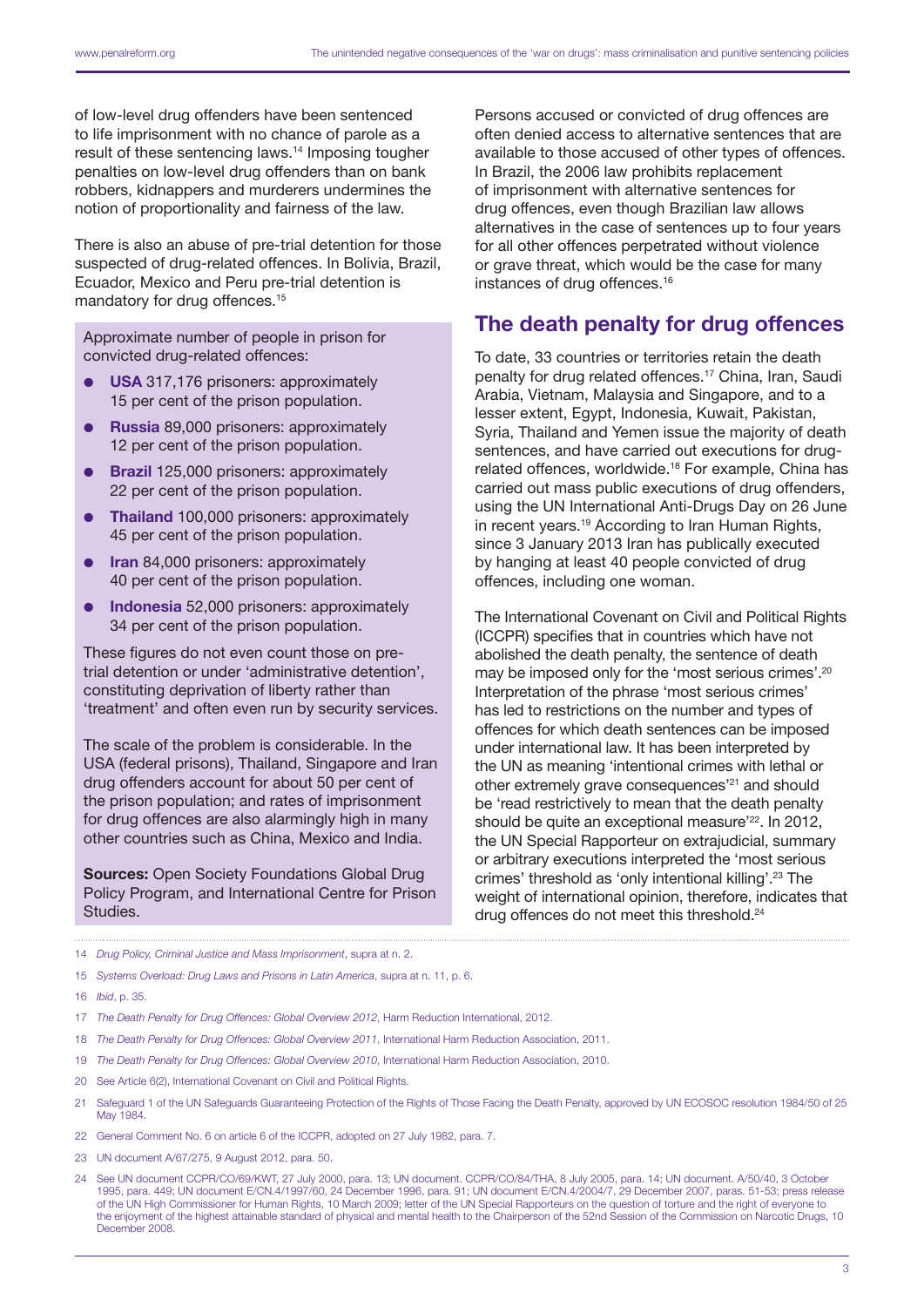of low-level drug offenders have been sentenced to life imprisonment with no chance of parole as a result of these sentencing laws.14 Imposing tougher penalties on low-level drug offenders than on bank robbers, kidnappers and murderers undermines the notion of proportionality and fairness of the law.

There is also an abuse of pre-trial detention for those suspected of drug-related offences. In Bolivia, Brazil, Ecuador, Mexico and Peru pre-trial detention is mandatory for drug offences.<sup>15</sup>

Approximate number of people in prison for convicted drug-related offences:

- USA 317,176 prisoners: approximately 15 per cent of the prison population.
- Russia 89,000 prisoners: approximately 12 per cent of the prison population.
- Brazil 125,000 prisoners: approximately 22 per cent of the prison population.
- Thailand 100,000 prisoners: approximately 45 per cent of the prison population.
- Iran 84,000 prisoners: approximately 40 per cent of the prison population.
- Indonesia 52,000 prisoners: approximately 34 per cent of the prison population.

These figures do not even count those on pretrial detention or under 'administrative detention', constituting deprivation of liberty rather than 'treatment' and often even run by security services.

The scale of the problem is considerable. In the USA (federal prisons), Thailand, Singapore and Iran drug offenders account for about 50 per cent of the prison population; and rates of imprisonment for drug offences are also alarmingly high in many other countries such as China, Mexico and India.

Sources: Open Society Foundations Global Drug Policy Program, and International Centre for Prison Studies.

Persons accused or convicted of drug offences are often denied access to alternative sentences that are available to those accused of other types of offences. In Brazil, the 2006 law prohibits replacement of imprisonment with alternative sentences for drug offences, even though Brazilian law allows alternatives in the case of sentences up to four years for all other offences perpetrated without violence or grave threat, which would be the case for many instances of drug offences.<sup>16</sup>

#### The death penalty for drug offences

To date, 33 countries or territories retain the death penalty for drug related offences.17 China, Iran, Saudi Arabia, Vietnam, Malaysia and Singapore, and to a lesser extent, Egypt, Indonesia, Kuwait, Pakistan, Syria, Thailand and Yemen issue the majority of death sentences, and have carried out executions for drugrelated offences, worldwide.18 For example, China has carried out mass public executions of drug offenders, using the UN International Anti-Drugs Day on 26 June in recent years.19 According to Iran Human Rights, since 3 January 2013 Iran has publically executed by hanging at least 40 people convicted of drug offences, including one woman.

The International Covenant on Civil and Political Rights (ICCPR) specifies that in countries which have not abolished the death penalty, the sentence of death may be imposed only for the 'most serious crimes'.<sup>20</sup> Interpretation of the phrase 'most serious crimes' has led to restrictions on the number and types of offences for which death sentences can be imposed under international law. It has been interpreted by the UN as meaning 'intentional crimes with lethal or other extremely grave consequences'21 and should be 'read restrictively to mean that the death penalty should be quite an exceptional measure'<sup>22</sup>. In 2012, the UN Special Rapporteur on extrajudicial, summary or arbitrary executions interpreted the 'most serious crimes' threshold as 'only intentional killing'.23 The weight of international opinion, therefore, indicates that drug offences do not meet this threshold.<sup>24</sup>

- 15 *Systems Overload: Drug Laws and Prisons in Latin America*, supra at n. 11, p. 6.
- 16 *Ibid*, p. 35.
- 17 *The Death Penalty for Drug Offences: Global Overview 2012*, Harm Reduction International, 2012.
- 18 *The Death Penalty for Drug Offences: Global Overview 2011*, International Harm Reduction Association, 2011.
- 19 *The Death Penalty for Drug Offences: Global Overview 2010*, International Harm Reduction Association, 2010.
- 20 See Article 6(2), International Covenant on Civil and Political Rights.
- 21 Safeguard 1 of the UN Safeguards Guaranteeing Protection of the Rights of Those Facing the Death Penalty, approved by UN ECOSOC resolution 1984/50 of 25 May 1984.
- 22 General Comment No. 6 on article 6 of the ICCPR, adopted on 27 July 1982, para. 7.
- 23 UN document A/67/275, 9 August 2012, para. 50.
- 24 See UN document CCPR/CO/69/KWT, 27 July 2000, para. 13; UN document. CCPR/CO/84/THA, 8 July 2005, para. 14; UN document. A/50/40, 3 October 1995, para. 449; UN document E/CN.4/1997/60, 24 December 1996, para. 91; UN document E/CN.4/2004/7, 29 December 2007, paras. 51-53; press release of the UN High Commissioner for Human Rights, 10 March 2009; letter of the UN Special Rapporteurs on the question of torture and the right of everyone to the enjoyment of the highest attainable standard of physical and mental health to the Chairperson of the 52nd Session of the Commission on Narcotic Drugs, 10 December 2008.

<sup>14</sup> *Drug Policy, Criminal Justice and Mass Imprisonment*, supra at n. 2.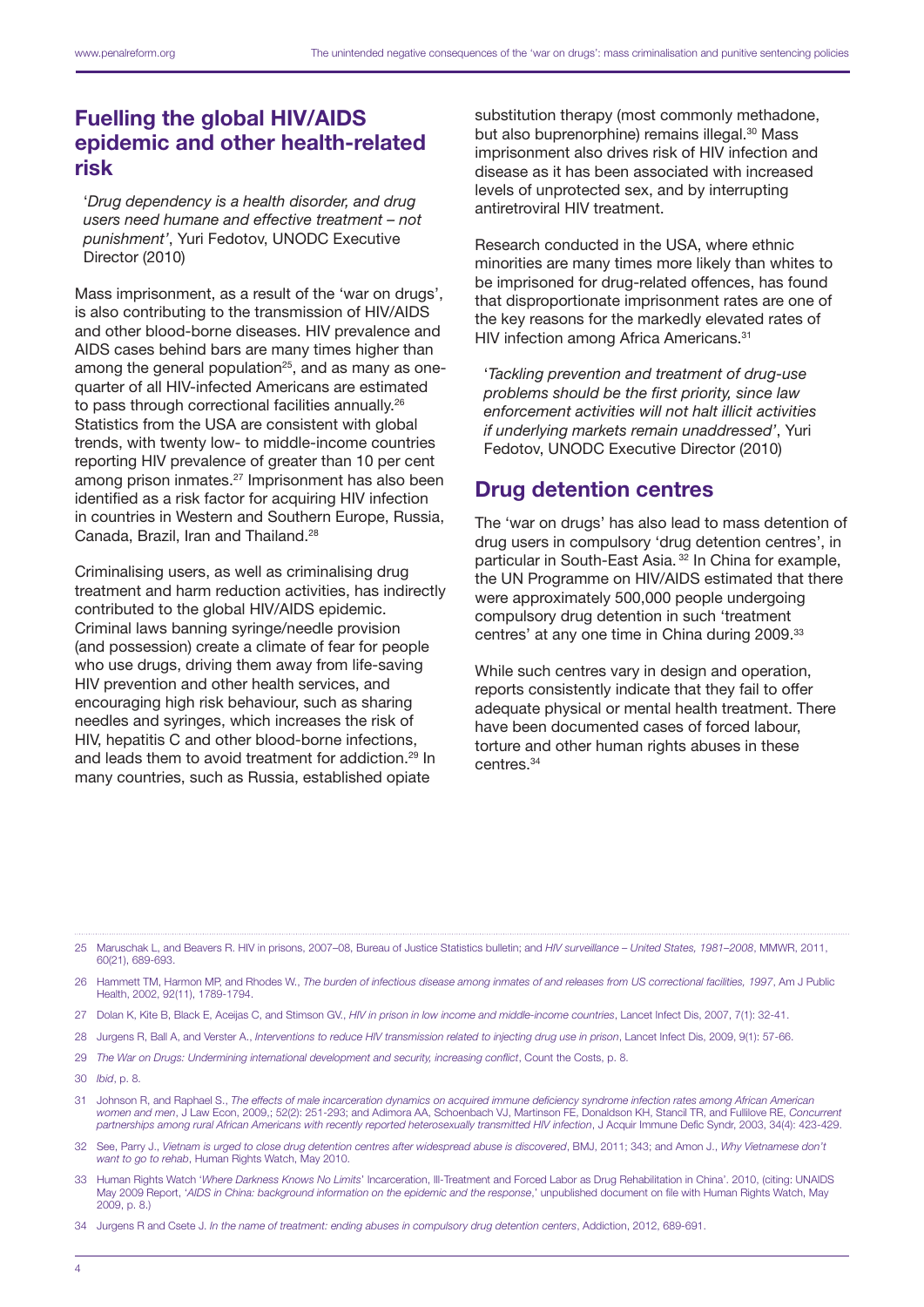## Fuelling the global HIV/AIDS epidemic and other health-related risk

'*Drug dependency is a health disorder, and drug users need humane and effective treatment – not punishment'*, Yuri Fedotov, UNODC Executive Director (2010)

Mass imprisonment, as a result of the 'war on drugs', is also contributing to the transmission of HIV/AIDS and other blood-borne diseases. HIV prevalence and AIDS cases behind bars are many times higher than among the general population<sup>25</sup>, and as many as onequarter of all HIV-infected Americans are estimated to pass through correctional facilities annually.<sup>26</sup> Statistics from the USA are consistent with global trends, with twenty low- to middle-income countries reporting HIV prevalence of greater than 10 per cent among prison inmates.<sup>27</sup> Imprisonment has also been identified as a risk factor for acquiring HIV infection in countries in Western and Southern Europe, Russia, Canada, Brazil, Iran and Thailand.28

Criminalising users, as well as criminalising drug treatment and harm reduction activities, has indirectly contributed to the global HIV/AIDS epidemic. Criminal laws banning syringe/needle provision (and possession) create a climate of fear for people who use drugs, driving them away from life-saving HIV prevention and other health services, and encouraging high risk behaviour, such as sharing needles and syringes, which increases the risk of HIV, hepatitis C and other blood-borne infections, and leads them to avoid treatment for addiction.<sup>29</sup> In many countries, such as Russia, established opiate

substitution therapy (most commonly methadone, but also buprenorphine) remains illegal.<sup>30</sup> Mass imprisonment also drives risk of HIV infection and disease as it has been associated with increased levels of unprotected sex, and by interrupting antiretroviral HIV treatment.

Research conducted in the USA, where ethnic minorities are many times more likely than whites to be imprisoned for drug-related offences, has found that disproportionate imprisonment rates are one of the key reasons for the markedly elevated rates of HIV infection among Africa Americans.<sup>31</sup>

'*Tackling prevention and treatment of drug-use problems should be the first priority, since law enforcement activities will not halt illicit activities if underlying markets remain unaddressed'*, Yuri Fedotov, UNODC Executive Director (2010)

## Drug detention centres

The 'war on drugs' has also lead to mass detention of drug users in compulsory 'drug detention centres', in particular in South-East Asia. 32 In China for example, the UN Programme on HIV/AIDS estimated that there were approximately 500,000 people undergoing compulsory drug detention in such 'treatment centres' at any one time in China during 2009.<sup>33</sup>

While such centres vary in design and operation, reports consistently indicate that they fail to offer adequate physical or mental health treatment. There have been documented cases of forced labour, torture and other human rights abuses in these centres.34

- 27 Dolan K, Kite B, Black E, Aceijas C, and Stimson GV., *HIV in prison in low income and middle-income countries*, Lancet Infect Dis, 2007, 7(1): 32-41.
- 28 Jurgens R, Ball A, and Verster A., *Interventions to reduce HIV transmission related to injecting drug use in prison*, Lancet Infect Dis, 2009, 9(1): 57-66.
- 29 *The War on Drugs: Undermining international development and security, increasing conflict*, Count the Costs, p. 8.
- 30 *Ibid*, p. 8.
- 31 Johnson R, and Raphael S., *The effects of male incarceration dynamics on acquired immune deficiency syndrome infection rates among African American women and men*, J Law Econ, 2009,; 52(2): 251-293; and Adimora AA, Schoenbach VJ, Martinson FE, Donaldson KH, Stancil TR, and Fullilove RE, *Concurrent partnerships among rural African Americans with recently reported heterosexually transmitted HIV infection*, J Acquir Immune Defic Syndr, 2003, 34(4): 423-429.
- 32 See, Parry J., *Vietnam is urged to close drug detention centres after widespread abuse is discovered*, BMJ, 2011; 343; and Amon J., *Why Vietnamese don't want to go to rehab*, Human Rights Watch, May 2010.
- 33 Human Rights Watch '*Where Darkness Knows No Limits*' Incarceration, Ill-Treatment and Forced Labor as Drug Rehabilitation in China'. 2010, (citing: UNAIDS May 2009 Report, '*AIDS in China: background information on the epidemic and the response*,' unpublished document on file with Human Rights Watch, May 2009, p. 8.)

<sup>25</sup> Maruschak L, and Beavers R. HIV in prisons, 2007–08, Bureau of Justice Statistics bulletin; and *HIV surveillance – United States, 1981–2008*, MMWR, 2011, 60(21), 689-693.

<sup>26</sup> Hammett TM, Harmon MP, and Rhodes W., *The burden of infectious disease among inmates of and releases from US correctional facilities, 1997*, Am J Public Health, 2002, 92(11), 1789-1794.

<sup>34</sup> Jurgens R and Csete J. *In the name of treatment: ending abuses in compulsory drug detention centers*, Addiction, 2012, 689-691.